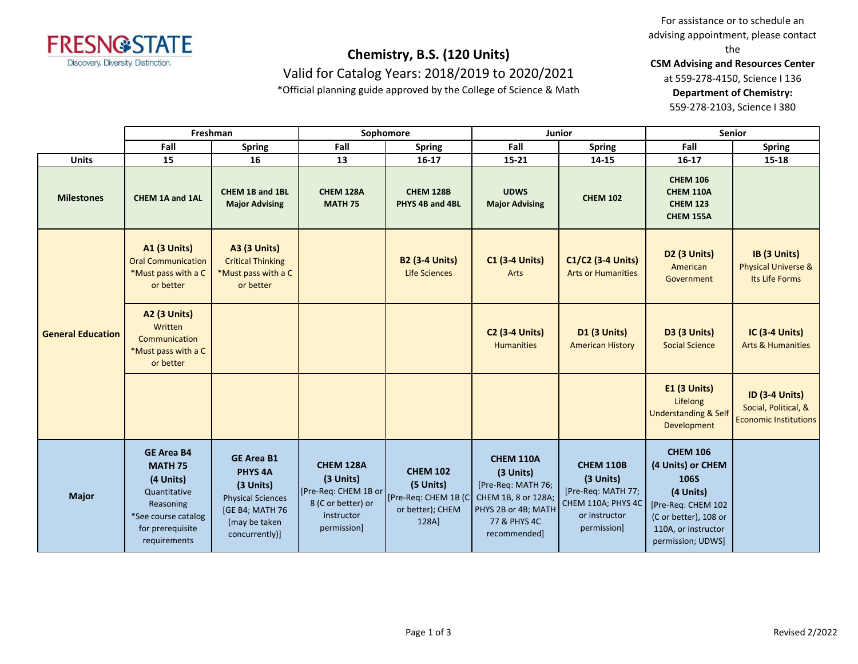

Valid for Catalog Years: 2018/2019 to 2020/2021

\*Official planning guide approved by the College of Science & Math

For assistance or to schedule an advising appointment, please contact the

**CSM Advising and Resources Center** 

at 559-278-4150, Science I 136 **Department of Chemistry:** 559-278-2103, Science I 380

**Fall Spring Fall Spring Fall Spring Fall Spring UDWS Major Advising CHEM 102 CHEM 106 CHEM 110A CHEM 123 CHEM 155A Freshman Sophomore Junior Senior**

| <b>Units</b>             | 15                                                                                                                                       | 16                                                                                                                                       | 13                                                                                                | $16 - 17$                                                                         | $15 - 21$                                                                                                                  | 14-15                                                                                                     | $16 - 17$                                                                                                                                                   | 15-18                                                                         |
|--------------------------|------------------------------------------------------------------------------------------------------------------------------------------|------------------------------------------------------------------------------------------------------------------------------------------|---------------------------------------------------------------------------------------------------|-----------------------------------------------------------------------------------|----------------------------------------------------------------------------------------------------------------------------|-----------------------------------------------------------------------------------------------------------|-------------------------------------------------------------------------------------------------------------------------------------------------------------|-------------------------------------------------------------------------------|
| <b>Milestones</b>        | CHEM 1A and 1AL                                                                                                                          | CHEM 1B and 1BL<br><b>Major Advising</b>                                                                                                 | CHEM 128A<br><b>MATH 75</b>                                                                       | <b>CHEM 128B</b><br>PHYS 4B and 4BL                                               | <b>UDWS</b><br><b>Major Advising</b>                                                                                       | <b>CHEM 102</b>                                                                                           | <b>CHEM 106</b><br><b>CHEM 110A</b><br><b>CHEM 123</b><br><b>CHEM 155A</b>                                                                                  |                                                                               |
| <b>General Education</b> | <b>A1 (3 Units)</b><br><b>Oral Communication</b><br>*Must pass with a C<br>or better                                                     | <b>A3 (3 Units)</b><br><b>Critical Thinking</b><br>*Must pass with a C<br>or better                                                      |                                                                                                   | <b>B2 (3-4 Units)</b><br><b>Life Sciences</b>                                     | <b>C1 (3-4 Units)</b><br>Arts                                                                                              | C1/C2 (3-4 Units)<br><b>Arts or Humanities</b>                                                            | <b>D2 (3 Units)</b><br>American<br>Government                                                                                                               | IB (3 Units)<br><b>Physical Universe &amp;</b><br>Its Life Forms              |
|                          | <b>A2 (3 Units)</b><br>Written<br>Communication<br>*Must pass with a C<br>or better                                                      |                                                                                                                                          |                                                                                                   |                                                                                   | <b>C2 (3-4 Units)</b><br><b>Humanities</b>                                                                                 | <b>D1 (3 Units)</b><br><b>American History</b>                                                            | <b>D3 (3 Units)</b><br><b>Social Science</b>                                                                                                                | <b>IC (3-4 Units)</b><br><b>Arts &amp; Humanities</b>                         |
|                          |                                                                                                                                          |                                                                                                                                          |                                                                                                   |                                                                                   |                                                                                                                            |                                                                                                           | <b>E1 (3 Units)</b><br>Lifelong<br><b>Understanding &amp; Self</b><br><b>Development</b>                                                                    | <b>ID (3-4 Units)</b><br>Social, Political, &<br><b>Economic Institutions</b> |
| <b>Major</b>             | <b>GE Area B4</b><br><b>MATH 75</b><br>(4 Units)<br>Quantitative<br>Reasoning<br>*See course catalog<br>for prerequisite<br>requirements | <b>GE Area B1</b><br>PHYS <sub>4A</sub><br>$(3$ Units)<br><b>Physical Sciences</b><br>[GE B4; MATH 76<br>(may be taken<br>concurrently)] | CHEM 128A<br>(3 Units)<br>[Pre-Req: CHEM 1B or<br>8 (C or better) or<br>instructor<br>permission] | <b>CHEM 102</b><br>(5 Units)<br>[Pre-Req: CHEM 1B (C<br>or better); CHEM<br>128A] | CHEM 110A<br>(3 Units)<br>[Pre-Req: MATH 76;<br>CHEM 1B, 8 or 128A;<br>PHYS 2B or 4B; MATH<br>77 & PHYS 4C<br>recommended] | <b>CHEM 110B</b><br>(3 Units)<br>[Pre-Req: MATH 77;<br>CHEM 110A; PHYS 4C<br>or instructor<br>permission] | <b>CHEM 106</b><br>(4 Units) or CHEM<br><b>106S</b><br>(4 Units)<br>[Pre-Req: CHEM 102<br>(C or better), 108 or<br>110A, or instructor<br>permission; UDWS] |                                                                               |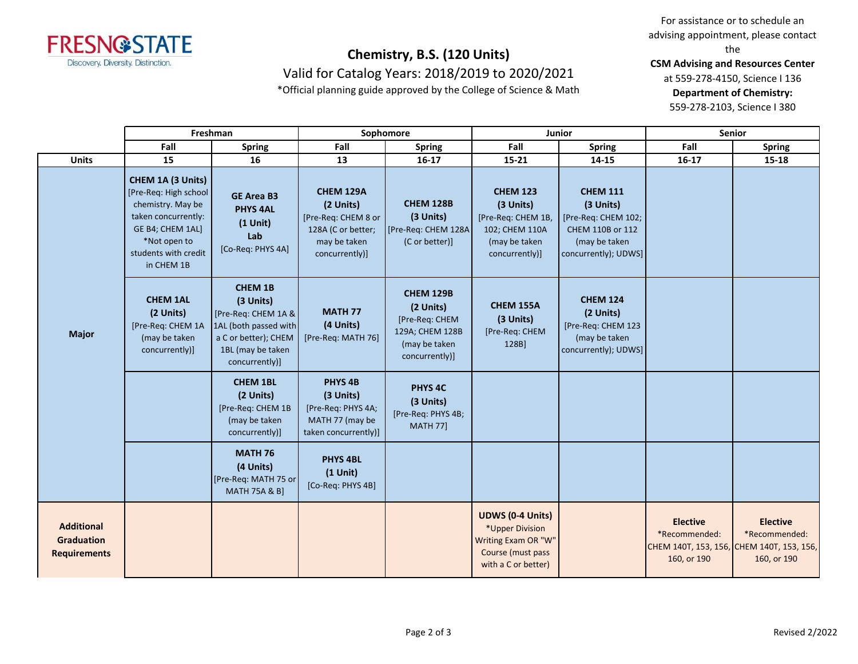

Valid for Catalog Years: 2018/2019 to 2020/2021

\*Official planning guide approved by the College of Science & Math

For assistance or to schedule an advising appointment, please contact the

**CSM Advising and Resources Center** 

at 559-278-4150, Science I 136 **Department of Chemistry:**

559-278-2103, Science I 380

|                                                               | Freshman                                                                                                                                                          |                                                                                                                                            | Sophomore                                                                                             |                                                                                                       | Junior                                                                                                        |                                                                                                                  | <b>Senior</b>                                   |                                                                                              |
|---------------------------------------------------------------|-------------------------------------------------------------------------------------------------------------------------------------------------------------------|--------------------------------------------------------------------------------------------------------------------------------------------|-------------------------------------------------------------------------------------------------------|-------------------------------------------------------------------------------------------------------|---------------------------------------------------------------------------------------------------------------|------------------------------------------------------------------------------------------------------------------|-------------------------------------------------|----------------------------------------------------------------------------------------------|
|                                                               | Fall                                                                                                                                                              | <b>Spring</b>                                                                                                                              | Fall                                                                                                  | <b>Spring</b>                                                                                         | Fall                                                                                                          | <b>Spring</b>                                                                                                    | Fall                                            | <b>Spring</b>                                                                                |
| <b>Units</b>                                                  | 15                                                                                                                                                                | 16                                                                                                                                         | 13                                                                                                    | $16-17$                                                                                               | $15 - 21$                                                                                                     | 14-15                                                                                                            | $16 - 17$                                       | 15-18                                                                                        |
| <b>Major</b>                                                  | CHEM 1A (3 Units)<br>[Pre-Req: High school]<br>chemistry. May be<br>taken concurrently:<br>GE B4; CHEM 1AL]<br>*Not open to<br>students with credit<br>in CHEM 1B | <b>GE Area B3</b><br><b>PHYS 4AL</b><br>$(1$ Unit)<br>Lab<br>[Co-Req: PHYS 4A]                                                             | CHEM 129A<br>(2 Units)<br>[Pre-Req: CHEM 8 or<br>128A (C or better;<br>may be taken<br>concurrently)] | <b>CHEM 128B</b><br>(3 Units)<br>[Pre-Req: CHEM 128A<br>(C or better)]                                | <b>CHEM 123</b><br>(3 Units)<br>[Pre-Req: CHEM 1B,<br>102; CHEM 110A<br>(may be taken<br>concurrently)]       | <b>CHEM 111</b><br>(3 Units)<br>[Pre-Req: CHEM 102;<br>CHEM 110B or 112<br>(may be taken<br>concurrently); UDWS] |                                                 |                                                                                              |
|                                                               | <b>CHEM 1AL</b><br>(2 Units)<br>[Pre-Req: CHEM 1A<br>(may be taken<br>concurrently)]                                                                              | <b>CHEM 1B</b><br>(3 Units)<br>[Pre-Req: CHEM 1A &<br>1AL (both passed with<br>a C or better); CHEM<br>1BL (may be taken<br>concurrently)] | <b>MATH 77</b><br>(4 Units)<br>[Pre-Req: MATH 76]                                                     | <b>CHEM 129B</b><br>(2 Units)<br>[Pre-Req: CHEM<br>129A; CHEM 128B<br>(may be taken<br>concurrently)] | <b>CHEM 155A</b><br>(3 Units)<br>[Pre-Req: CHEM<br>128B]                                                      | <b>CHEM 124</b><br>(2 Units)<br>[Pre-Req: CHEM 123<br>(may be taken<br>concurrently); UDWS]                      |                                                 |                                                                                              |
|                                                               |                                                                                                                                                                   | <b>CHEM 1BL</b><br>(2 Units)<br>[Pre-Req: CHEM 1B<br>(may be taken<br>concurrently)]                                                       | PHYS <sub>4B</sub><br>(3 Units)<br>[Pre-Req: PHYS 4A;<br>MATH 77 (may be<br>taken concurrently)]      | PHYS <sub>4C</sub><br>(3 Units)<br>[Pre-Req: PHYS 4B;<br><b>MATH 77]</b>                              |                                                                                                               |                                                                                                                  |                                                 |                                                                                              |
|                                                               |                                                                                                                                                                   | <b>MATH 76</b><br>(4 Units)<br>[Pre-Req: MATH 75 or<br><b>MATH 75A &amp; B]</b>                                                            | <b>PHYS 4BL</b><br>$(1$ Unit)<br>[Co-Req: PHYS 4B]                                                    |                                                                                                       |                                                                                                               |                                                                                                                  |                                                 |                                                                                              |
| <b>Additional</b><br><b>Graduation</b><br><b>Requirements</b> |                                                                                                                                                                   |                                                                                                                                            |                                                                                                       |                                                                                                       | <b>UDWS (0-4 Units)</b><br>*Upper Division<br>Writing Exam OR "W"<br>Course (must pass<br>with a C or better) |                                                                                                                  | <b>Elective</b><br>*Recommended:<br>160, or 190 | <b>Elective</b><br>*Recommended:<br>СНЕМ 140Т, 153, 156, СНЕМ 140Т, 153, 156,<br>160, or 190 |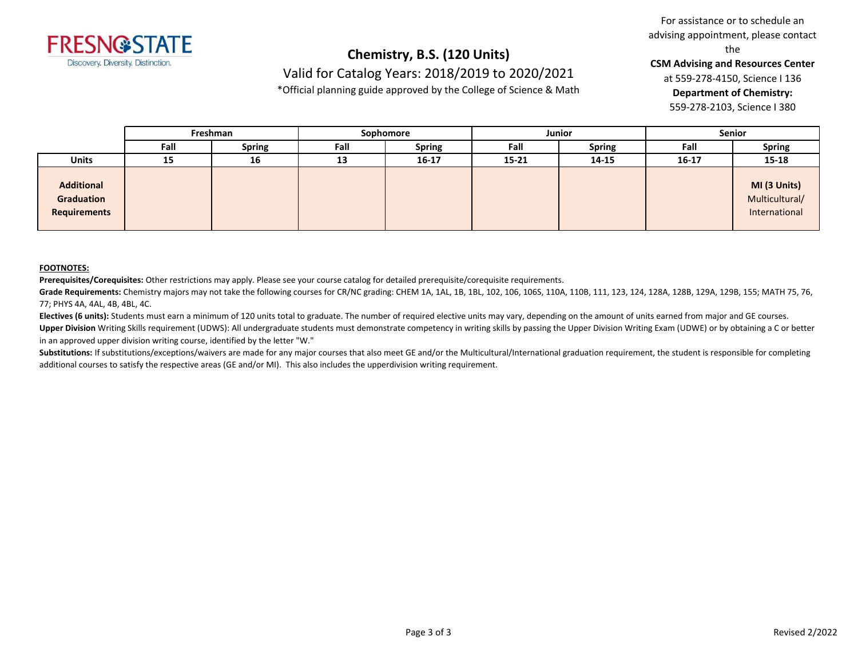

### **Chemistry, B.S. (120 Units)** Valid for Catalog Years: 2018/2019 to 2020/2021

\*Official planning guide approved by the College of Science & Math

For assistance or to schedule an advising appointment, please contact the

**CSM Advising and Resources Center** 

at 559-278-4150, Science I 136 **Department of Chemistry:** 559-278-2103, Science I 380

|                                                 | Freshman |               | Sophomore |               | Junior    |               | <b>Senior</b> |                                                 |
|-------------------------------------------------|----------|---------------|-----------|---------------|-----------|---------------|---------------|-------------------------------------------------|
|                                                 | Fall     | <b>Spring</b> | Fall      | <b>Spring</b> | Fall      | <b>Spring</b> | Fall          | <b>Spring</b>                                   |
| <b>Units</b>                                    | 15       | 16            | 13        | $16 - 17$     | $15 - 21$ | 14-15         | $16 - 17$     | 15-18                                           |
| <b>Additional</b><br>Graduation<br>Requirements |          |               |           |               |           |               |               | MI (3 Units)<br>Multicultural/<br>International |

#### **FOOTNOTES:**

**Prerequisites/Corequisites:** Other restrictions may apply. Please see your course catalog for detailed prerequisite/corequisite requirements.

**Grade Requirements:** Chemistry majors may not take the following courses for CR/NC grading: CHEM 1A, 1AL, 1B, 1BL, 102, 106, 106S, 110A, 110B, 111, 123, 124, 128A, 128B, 129A, 129B, 155; MATH 75, 76, 77; PHYS 4A, 4AL, 4B, 4BL, 4C.

**Electives (6 units):** Students must earn a minimum of 120 units total to graduate. The number of required elective units may vary, depending on the amount of units earned from major and GE courses. Upper Division Writing Skills requirement (UDWS): All undergraduate students must demonstrate competency in writing skills by passing the Upper Division Writing Exam (UDWE) or by obtaining a C or better in an approved upper division writing course, identified by the letter "W."

Substitutions: If substitutions/exceptions/waivers are made for any major courses that also meet GE and/or the Multicultural/International graduation requirement, the student is responsible for completing additional courses to satisfy the respective areas (GE and/or MI). This also includes the upperdivision writing requirement.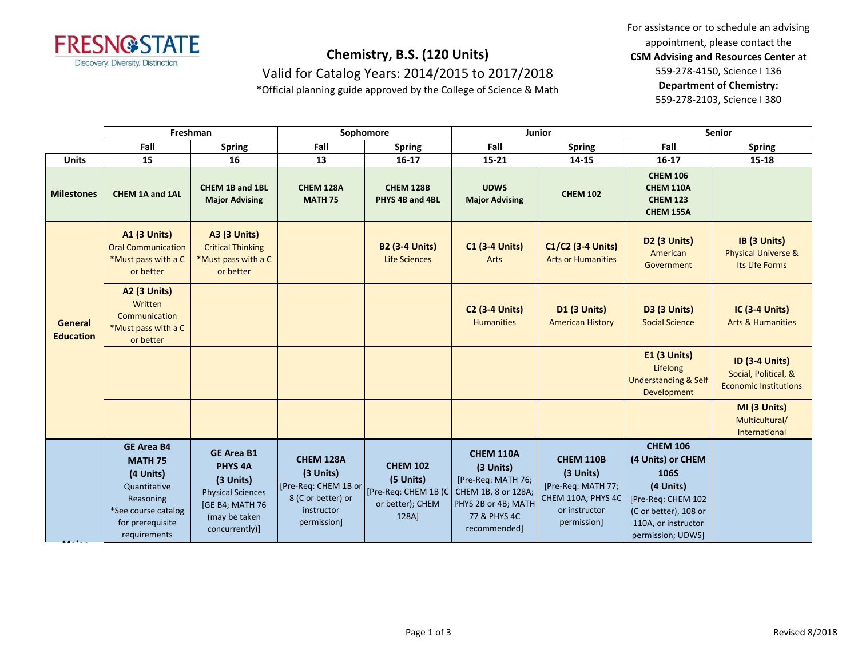

Valid for Catalog Years: 2014/2015 to 2017/2018

\*Official planning guide approved by the College of Science & Math

For assistance or to schedule an advising appointment, please contact the **CSM Advising and Resources Center** at 559-278-4150, Science I 136 **Department of Chemistry:**

559-278-2103, Science I 380

|                             | Freshman                                                                                                                                 |                                                                                                                                    | Sophomore                                                                                                               |                                                           | Junior                                                                                                                            |                                                                                                           | <b>Senior</b>                                                                                                                                               |                                                                               |
|-----------------------------|------------------------------------------------------------------------------------------------------------------------------------------|------------------------------------------------------------------------------------------------------------------------------------|-------------------------------------------------------------------------------------------------------------------------|-----------------------------------------------------------|-----------------------------------------------------------------------------------------------------------------------------------|-----------------------------------------------------------------------------------------------------------|-------------------------------------------------------------------------------------------------------------------------------------------------------------|-------------------------------------------------------------------------------|
|                             | Fall                                                                                                                                     | <b>Spring</b>                                                                                                                      | Fall                                                                                                                    | <b>Spring</b>                                             | Fall                                                                                                                              | <b>Spring</b>                                                                                             | Fall                                                                                                                                                        | <b>Spring</b>                                                                 |
| <b>Units</b>                | 15                                                                                                                                       | 16                                                                                                                                 | 13                                                                                                                      | $16-17$                                                   | 15-21                                                                                                                             | 14-15                                                                                                     | $16 - 17$                                                                                                                                                   | 15-18                                                                         |
| <b>Milestones</b>           | CHEM 1A and 1AL                                                                                                                          | CHEM 1B and 1BL<br><b>Major Advising</b>                                                                                           | CHEM 128A<br><b>MATH 75</b>                                                                                             | <b>CHEM 128B</b><br>PHYS 4B and 4BL                       | <b>UDWS</b><br><b>Major Advising</b>                                                                                              | <b>CHEM 102</b>                                                                                           | <b>CHEM 106</b><br><b>CHEM 110A</b><br><b>CHEM 123</b><br><b>CHEM 155A</b>                                                                                  |                                                                               |
|                             | <b>A1 (3 Units)</b><br><b>Oral Communication</b><br>*Must pass with a C<br>or better                                                     | <b>A3 (3 Units)</b><br><b>Critical Thinking</b><br>*Must pass with a C<br>or better                                                |                                                                                                                         | <b>B2 (3-4 Units)</b><br>Life Sciences                    | <b>C1 (3-4 Units)</b><br>Arts                                                                                                     | C1/C2 (3-4 Units)<br><b>Arts or Humanities</b>                                                            | D <sub>2</sub> (3 Units)<br>American<br>Government                                                                                                          | IB (3 Units)<br><b>Physical Universe &amp;</b><br>Its Life Forms              |
| General<br><b>Education</b> | A2 (3 Units)<br>Written<br>Communication<br>*Must pass with a C<br>or better                                                             |                                                                                                                                    |                                                                                                                         |                                                           | <b>C2 (3-4 Units)</b><br><b>Humanities</b>                                                                                        | D1 (3 Units)<br><b>American History</b>                                                                   | <b>D3 (3 Units)</b><br><b>Social Science</b>                                                                                                                | <b>IC (3-4 Units)</b><br><b>Arts &amp; Humanities</b>                         |
|                             |                                                                                                                                          |                                                                                                                                    |                                                                                                                         |                                                           |                                                                                                                                   |                                                                                                           | <b>E1 (3 Units)</b><br>Lifelong<br><b>Understanding &amp; Self</b><br>Development                                                                           | <b>ID (3-4 Units)</b><br>Social, Political, &<br><b>Economic Institutions</b> |
|                             |                                                                                                                                          |                                                                                                                                    |                                                                                                                         |                                                           |                                                                                                                                   |                                                                                                           |                                                                                                                                                             | MI (3 Units)<br>Multicultural/<br>International                               |
|                             | <b>GE Area B4</b><br><b>MATH 75</b><br>(4 Units)<br>Quantitative<br>Reasoning<br>*See course catalog<br>for prerequisite<br>requirements | <b>GE Area B1</b><br><b>PHYS 4A</b><br>(3 Units)<br><b>Physical Sciences</b><br>[GE B4; MATH 76<br>(may be taken<br>concurrently)] | CHEM 128A<br>(3 Units)<br>[Pre-Req: CHEM 1B or [Pre-Req: CHEM 1B (C)<br>8 (C or better) or<br>instructor<br>permission] | <b>CHEM 102</b><br>(5 Units)<br>or better); CHEM<br>128A] | <b>CHEM 110A</b><br>(3 Units)<br>[Pre-Req: MATH 76;<br>CHEM 1B, 8 or 128A;<br>PHYS 2B or 4B; MATH<br>77 & PHYS 4C<br>recommended] | <b>CHEM 110B</b><br>(3 Units)<br>[Pre-Req: MATH 77;<br>CHEM 110A; PHYS 4C<br>or instructor<br>permission] | <b>CHEM 106</b><br>(4 Units) or CHEM<br><b>106S</b><br>(4 Units)<br>[Pre-Req: CHEM 102<br>(C or better), 108 or<br>110A, or instructor<br>permission; UDWS] |                                                                               |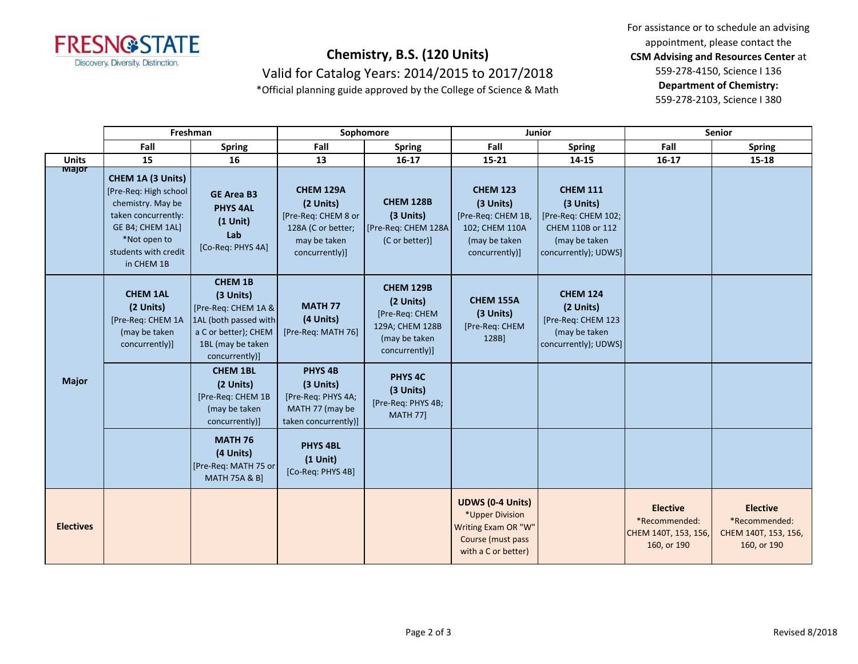

Valid for Catalog Years: 2014/2015 to 2017/2018

\*Official planning guide approved by the College of Science & Math

For assistance or to schedule an advising appointment, please contact the **CSM Advising and Resources Center** at 559-278-4150, Science I 136 **Department of Chemistry:**

559-278-2103, Science I 380

|                  | Freshman                                                                                                                                                         |                                                                                                                                            | Sophomore                                                                                                    |                                                                                                       | Junior                                                                                                        |                                                                                                                  | <b>Senior</b>                                                           |                                                                         |
|------------------|------------------------------------------------------------------------------------------------------------------------------------------------------------------|--------------------------------------------------------------------------------------------------------------------------------------------|--------------------------------------------------------------------------------------------------------------|-------------------------------------------------------------------------------------------------------|---------------------------------------------------------------------------------------------------------------|------------------------------------------------------------------------------------------------------------------|-------------------------------------------------------------------------|-------------------------------------------------------------------------|
|                  | Fall                                                                                                                                                             | <b>Spring</b>                                                                                                                              | Fall                                                                                                         | <b>Spring</b>                                                                                         | Fall                                                                                                          | <b>Spring</b>                                                                                                    | Fall                                                                    | <b>Spring</b>                                                           |
| <b>Units</b>     | 15                                                                                                                                                               | 16                                                                                                                                         | 13                                                                                                           | $16 - 17$                                                                                             | $15 - 21$                                                                                                     | 14-15                                                                                                            | $16 - 17$                                                               | 15-18                                                                   |
| Major            | CHEM 1A (3 Units)<br>[Pre-Req: High school<br>chemistry. May be<br>taken concurrently:<br>GE B4; CHEM 1AL]<br>*Not open to<br>students with credit<br>in CHEM 1B | <b>GE Area B3</b><br><b>PHYS 4AL</b><br>$(1$ Unit)<br>Lab<br>[Co-Req: PHYS 4A]                                                             | <b>CHEM 129A</b><br>(2 Units)<br>[Pre-Req: CHEM 8 or<br>128A (C or better;<br>may be taken<br>concurrently)] | <b>CHEM 128B</b><br>(3 Units)<br>[Pre-Req: CHEM 128A<br>(C or better)]                                | <b>CHEM 123</b><br>(3 Units)<br>[Pre-Req: CHEM 1B,<br>102; CHEM 110A<br>(may be taken<br>concurrently)]       | <b>CHEM 111</b><br>(3 Units)<br>[Pre-Req: CHEM 102;<br>CHEM 110B or 112<br>(may be taken<br>concurrently); UDWS] |                                                                         |                                                                         |
| <b>Major</b>     | <b>CHEM 1AL</b><br>(2 Units)<br>[Pre-Req: CHEM 1A<br>(may be taken<br>concurrently)]                                                                             | <b>CHEM 1B</b><br>(3 Units)<br>[Pre-Req: CHEM 1A &<br>1AL (both passed with<br>a C or better); CHEM<br>1BL (may be taken<br>concurrently)] | <b>MATH 77</b><br>(4 Units)<br>[Pre-Req: MATH 76]                                                            | <b>CHEM 129B</b><br>(2 Units)<br>[Pre-Req: CHEM<br>129A; CHEM 128B<br>(may be taken<br>concurrently)] | CHEM 155A<br>(3 Units)<br>[Pre-Req: CHEM<br>128B]                                                             | <b>CHEM 124</b><br>(2 Units)<br>[Pre-Req: CHEM 123<br>(may be taken<br>concurrently); UDWS]                      |                                                                         |                                                                         |
|                  |                                                                                                                                                                  | <b>CHEM 1BL</b><br>(2 Units)<br>[Pre-Req: CHEM 1B<br>(may be taken<br>concurrently)]                                                       | PHYS <sub>4B</sub><br>(3 Units)<br>[Pre-Req: PHYS 4A;<br>MATH 77 (may be<br>taken concurrently)]             | <b>PHYS 4C</b><br>(3 Units)<br>[Pre-Req: PHYS 4B;<br><b>MATH 77]</b>                                  |                                                                                                               |                                                                                                                  |                                                                         |                                                                         |
|                  |                                                                                                                                                                  | <b>MATH 76</b><br>(4 Units)<br>[Pre-Req: MATH 75 or<br><b>MATH 75A &amp; B1</b>                                                            | <b>PHYS 4BL</b><br>$(1$ Unit)<br>[Co-Req: PHYS 4B]                                                           |                                                                                                       |                                                                                                               |                                                                                                                  |                                                                         |                                                                         |
| <b>Electives</b> |                                                                                                                                                                  |                                                                                                                                            |                                                                                                              |                                                                                                       | <b>UDWS (0-4 Units)</b><br>*Upper Division<br>Writing Exam OR "W"<br>Course (must pass<br>with a C or better) |                                                                                                                  | <b>Elective</b><br>*Recommended:<br>CHEM 140T, 153, 156,<br>160, or 190 | <b>Elective</b><br>*Recommended:<br>CHEM 140T, 153, 156,<br>160, or 190 |